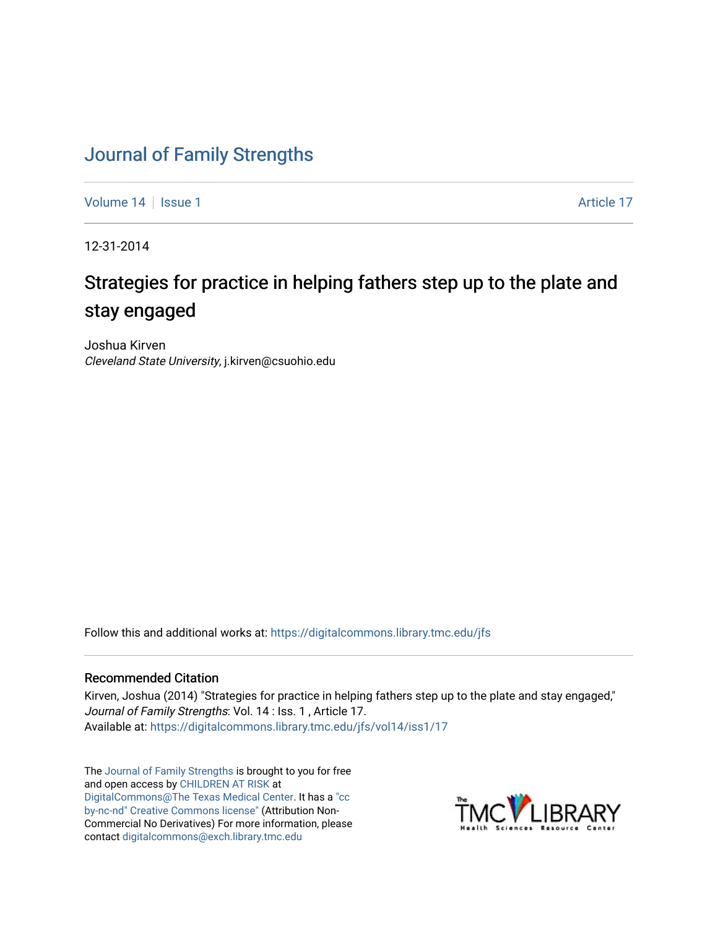## [Journal of Family Strengths](https://digitalcommons.library.tmc.edu/jfs)

[Volume 14](https://digitalcommons.library.tmc.edu/jfs/vol14) Suitsue 1 Article 17

12-31-2014

# Strategies for practice in helping fathers step up to the plate and stay engaged

Joshua Kirven Cleveland State University, j.kirven@csuohio.edu

Follow this and additional works at: [https://digitalcommons.library.tmc.edu/jfs](https://digitalcommons.library.tmc.edu/jfs?utm_source=digitalcommons.library.tmc.edu%2Fjfs%2Fvol14%2Fiss1%2F17&utm_medium=PDF&utm_campaign=PDFCoverPages) 

#### Recommended Citation

Kirven, Joshua (2014) "Strategies for practice in helping fathers step up to the plate and stay engaged," Journal of Family Strengths: Vol. 14 : Iss. 1, Article 17. Available at: [https://digitalcommons.library.tmc.edu/jfs/vol14/iss1/17](https://digitalcommons.library.tmc.edu/jfs/vol14/iss1/17?utm_source=digitalcommons.library.tmc.edu%2Fjfs%2Fvol14%2Fiss1%2F17&utm_medium=PDF&utm_campaign=PDFCoverPages)

The [Journal of Family Strengths](http://digitalcommons.library.tmc.edu/jfs) is brought to you for free and open access by [CHILDREN AT RISK](http://childrenatrisk.org/) at [DigitalCommons@The Texas Medical Center](http://digitalcommons.library.tmc.edu/). It has a ["cc](http://creativecommons.org/licenses/by-nc-nd/3.0/)  [by-nc-nd" Creative Commons license"](http://creativecommons.org/licenses/by-nc-nd/3.0/) (Attribution Non-Commercial No Derivatives) For more information, please contact [digitalcommons@exch.library.tmc.edu](mailto:digitalcommons@exch.library.tmc.edu) 

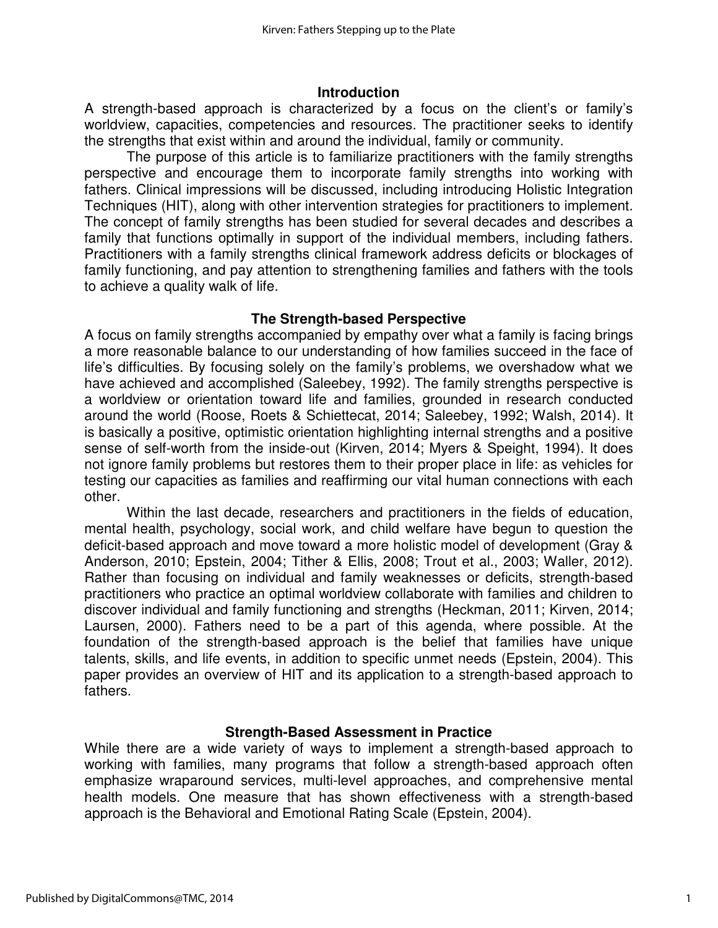#### **Introduction**

A strength-based approach is characterized by a focus on the client's or family's worldview, capacities, competencies and resources. The practitioner seeks to identify the strengths that exist within and around the individual, family or community.

The purpose of this article is to familiarize practitioners with the family strengths perspective and encourage them to incorporate family strengths into working with fathers. Clinical impressions will be discussed, including introducing Holistic Integration Techniques (HIT), along with other intervention strategies for practitioners to implement. The concept of family strengths has been studied for several decades and describes a family that functions optimally in support of the individual members, including fathers. Practitioners with a family strengths clinical framework address deficits or blockages of family functioning, and pay attention to strengthening families and fathers with the tools to achieve a quality walk of life.

#### **The Strength-based Perspective**

A focus on family strengths accompanied by empathy over what a family is facing brings a more reasonable balance to our understanding of how families succeed in the face of life's difficulties. By focusing solely on the family's problems, we overshadow what we have achieved and accomplished (Saleebey, 1992). The family strengths perspective is a worldview or orientation toward life and families, grounded in research conducted around the world (Roose, Roets & Schiettecat, 2014; Saleebey, 1992; Walsh, 2014). It is basically a positive, optimistic orientation highlighting internal strengths and a positive sense of self-worth from the inside-out (Kirven, 2014; Myers & Speight, 1994). It does not ignore family problems but restores them to their proper place in life: as vehicles for testing our capacities as families and reaffirming our vital human connections with each other.

Within the last decade, researchers and practitioners in the fields of education, mental health, psychology, social work, and child welfare have begun to question the deficit-based approach and move toward a more holistic model of development (Gray & Anderson, 2010; Epstein, 2004; Tither & Ellis, 2008; Trout et al., 2003; Waller, 2012). Rather than focusing on individual and family weaknesses or deficits, strength-based practitioners who practice an optimal worldview collaborate with families and children to discover individual and family functioning and strengths (Heckman, 2011; Kirven, 2014; Laursen, 2000). Fathers need to be a part of this agenda, where possible. At the foundation of the strength-based approach is the belief that families have unique talents, skills, and life events, in addition to specific unmet needs (Epstein, 2004). This paper provides an overview of HIT and its application to a strength-based approach to fathers.

#### **Strength-Based Assessment in Practice**

While there are a wide variety of ways to implement a strength-based approach to working with families, many programs that follow a strength-based approach often emphasize wraparound services, multi-level approaches, and comprehensive mental health models. One measure that has shown effectiveness with a strength-based approach is the Behavioral and Emotional Rating Scale (Epstein, 2004).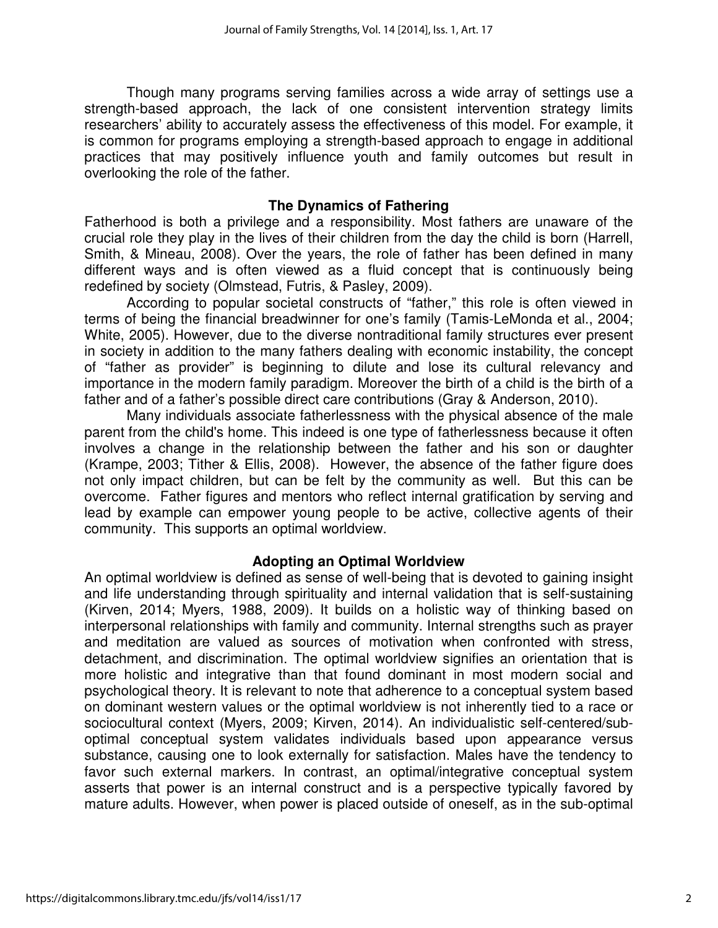Though many programs serving families across a wide array of settings use a strength-based approach, the lack of one consistent intervention strategy limits researchers' ability to accurately assess the effectiveness of this model. For example, it is common for programs employing a strength-based approach to engage in additional practices that may positively influence youth and family outcomes but result in overlooking the role of the father.

#### **The Dynamics of Fathering**

Fatherhood is both a privilege and a responsibility. Most fathers are unaware of the crucial role they play in the lives of their children from the day the child is born (Harrell, Smith, & Mineau, 2008). Over the years, the role of father has been defined in many different ways and is often viewed as a fluid concept that is continuously being redefined by society (Olmstead, Futris, & Pasley, 2009).

According to popular societal constructs of "father," this role is often viewed in terms of being the financial breadwinner for one's family (Tamis-LeMonda et al., 2004; White, 2005). However, due to the diverse nontraditional family structures ever present in society in addition to the many fathers dealing with economic instability, the concept of "father as provider" is beginning to dilute and lose its cultural relevancy and importance in the modern family paradigm. Moreover the birth of a child is the birth of a father and of a father's possible direct care contributions (Gray & Anderson, 2010).

Many individuals associate fatherlessness with the physical absence of the male parent from the child's home. This indeed is one type of fatherlessness because it often involves a change in the relationship between the father and his son or daughter (Krampe, 2003; Tither & Ellis, 2008). However, the absence of the father figure does not only impact children, but can be felt by the community as well. But this can be overcome. Father figures and mentors who reflect internal gratification by serving and lead by example can empower young people to be active, collective agents of their community. This supports an optimal worldview.

#### **Adopting an Optimal Worldview**

An optimal worldview is defined as sense of well-being that is devoted to gaining insight and life understanding through spirituality and internal validation that is self-sustaining (Kirven, 2014; Myers, 1988, 2009). It builds on a holistic way of thinking based on interpersonal relationships with family and community. Internal strengths such as prayer and meditation are valued as sources of motivation when confronted with stress, detachment, and discrimination. The optimal worldview signifies an orientation that is more holistic and integrative than that found dominant in most modern social and psychological theory. It is relevant to note that adherence to a conceptual system based on dominant western values or the optimal worldview is not inherently tied to a race or sociocultural context (Myers, 2009; Kirven, 2014). An individualistic self-centered/suboptimal conceptual system validates individuals based upon appearance versus substance, causing one to look externally for satisfaction. Males have the tendency to favor such external markers. In contrast, an optimal/integrative conceptual system asserts that power is an internal construct and is a perspective typically favored by mature adults. However, when power is placed outside of oneself, as in the sub-optimal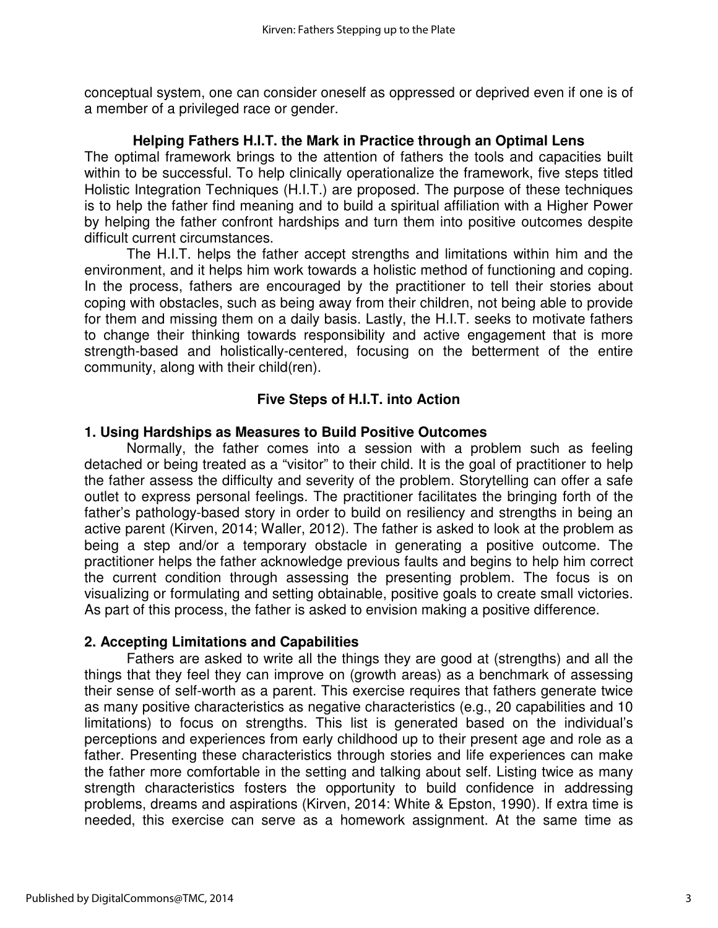conceptual system, one can consider oneself as oppressed or deprived even if one is of a member of a privileged race or gender.

#### **Helping Fathers H.I.T. the Mark in Practice through an Optimal Lens**

The optimal framework brings to the attention of fathers the tools and capacities built within to be successful. To help clinically operationalize the framework, five steps titled Holistic Integration Techniques (H.I.T.) are proposed. The purpose of these techniques is to help the father find meaning and to build a spiritual affiliation with a Higher Power by helping the father confront hardships and turn them into positive outcomes despite difficult current circumstances.

 The H.I.T. helps the father accept strengths and limitations within him and the environment, and it helps him work towards a holistic method of functioning and coping. In the process, fathers are encouraged by the practitioner to tell their stories about coping with obstacles, such as being away from their children, not being able to provide for them and missing them on a daily basis. Lastly, the H.I.T. seeks to motivate fathers to change their thinking towards responsibility and active engagement that is more strength-based and holistically-centered, focusing on the betterment of the entire community, along with their child(ren).

### **Five Steps of H.I.T. into Action**

#### **1. Using Hardships as Measures to Build Positive Outcomes**

 Normally, the father comes into a session with a problem such as feeling detached or being treated as a "visitor" to their child. It is the goal of practitioner to help the father assess the difficulty and severity of the problem. Storytelling can offer a safe outlet to express personal feelings. The practitioner facilitates the bringing forth of the father's pathology-based story in order to build on resiliency and strengths in being an active parent (Kirven, 2014; Waller, 2012). The father is asked to look at the problem as being a step and/or a temporary obstacle in generating a positive outcome. The practitioner helps the father acknowledge previous faults and begins to help him correct the current condition through assessing the presenting problem. The focus is on visualizing or formulating and setting obtainable, positive goals to create small victories. As part of this process, the father is asked to envision making a positive difference.

#### **2. Accepting Limitations and Capabilities**

 Fathers are asked to write all the things they are good at (strengths) and all the things that they feel they can improve on (growth areas) as a benchmark of assessing their sense of self-worth as a parent. This exercise requires that fathers generate twice as many positive characteristics as negative characteristics (e.g., 20 capabilities and 10 limitations) to focus on strengths. This list is generated based on the individual's perceptions and experiences from early childhood up to their present age and role as a father. Presenting these characteristics through stories and life experiences can make the father more comfortable in the setting and talking about self. Listing twice as many strength characteristics fosters the opportunity to build confidence in addressing problems, dreams and aspirations (Kirven, 2014: White & Epston, 1990). If extra time is needed, this exercise can serve as a homework assignment. At the same time as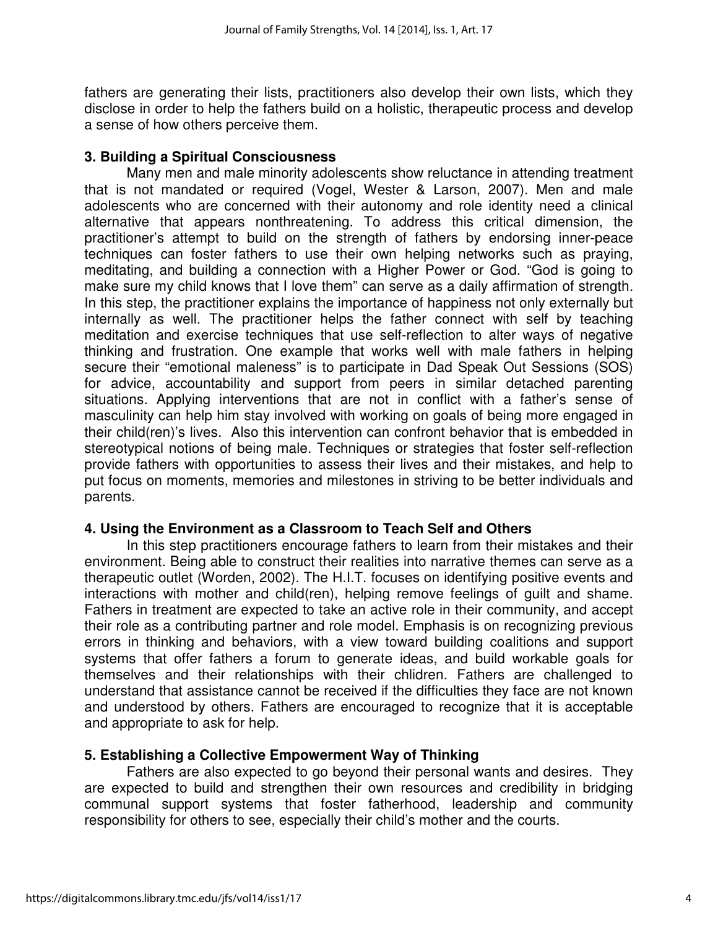fathers are generating their lists, practitioners also develop their own lists, which they disclose in order to help the fathers build on a holistic, therapeutic process and develop a sense of how others perceive them.

#### **3. Building a Spiritual Consciousness**

 Many men and male minority adolescents show reluctance in attending treatment that is not mandated or required (Vogel, Wester & Larson, 2007). Men and male adolescents who are concerned with their autonomy and role identity need a clinical alternative that appears nonthreatening. To address this critical dimension, the practitioner's attempt to build on the strength of fathers by endorsing inner-peace techniques can foster fathers to use their own helping networks such as praying, meditating, and building a connection with a Higher Power or God. "God is going to make sure my child knows that I love them" can serve as a daily affirmation of strength. In this step, the practitioner explains the importance of happiness not only externally but internally as well. The practitioner helps the father connect with self by teaching meditation and exercise techniques that use self-reflection to alter ways of negative thinking and frustration. One example that works well with male fathers in helping secure their "emotional maleness" is to participate in Dad Speak Out Sessions (SOS) for advice, accountability and support from peers in similar detached parenting situations. Applying interventions that are not in conflict with a father's sense of masculinity can help him stay involved with working on goals of being more engaged in their child(ren)'s lives. Also this intervention can confront behavior that is embedded in stereotypical notions of being male. Techniques or strategies that foster self-reflection provide fathers with opportunities to assess their lives and their mistakes, and help to put focus on moments, memories and milestones in striving to be better individuals and parents.

#### **4. Using the Environment as a Classroom to Teach Self and Others**

 In this step practitioners encourage fathers to learn from their mistakes and their environment. Being able to construct their realities into narrative themes can serve as a therapeutic outlet (Worden, 2002). The H.I.T. focuses on identifying positive events and interactions with mother and child(ren), helping remove feelings of guilt and shame. Fathers in treatment are expected to take an active role in their community, and accept their role as a contributing partner and role model. Emphasis is on recognizing previous errors in thinking and behaviors, with a view toward building coalitions and support systems that offer fathers a forum to generate ideas, and build workable goals for themselves and their relationships with their chlidren. Fathers are challenged to understand that assistance cannot be received if the difficulties they face are not known and understood by others. Fathers are encouraged to recognize that it is acceptable and appropriate to ask for help.

#### **5. Establishing a Collective Empowerment Way of Thinking**

 Fathers are also expected to go beyond their personal wants and desires. They are expected to build and strengthen their own resources and credibility in bridging communal support systems that foster fatherhood, leadership and community responsibility for others to see, especially their child's mother and the courts.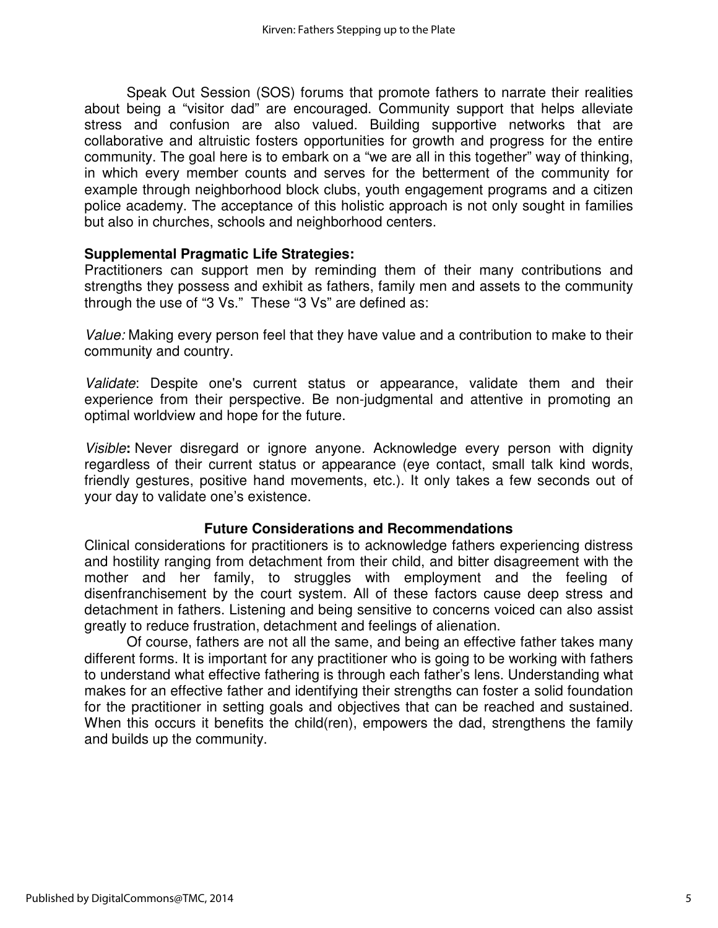Speak Out Session (SOS) forums that promote fathers to narrate their realities about being a "visitor dad" are encouraged. Community support that helps alleviate stress and confusion are also valued. Building supportive networks that are collaborative and altruistic fosters opportunities for growth and progress for the entire community. The goal here is to embark on a "we are all in this together" way of thinking, in which every member counts and serves for the betterment of the community for example through neighborhood block clubs, youth engagement programs and a citizen police academy. The acceptance of this holistic approach is not only sought in families but also in churches, schools and neighborhood centers.

#### **Supplemental Pragmatic Life Strategies:**

Practitioners can support men by reminding them of their many contributions and strengths they possess and exhibit as fathers, family men and assets to the community through the use of "3 Vs." These "3 Vs" are defined as:

Value: Making every person feel that they have value and a contribution to make to their community and country.

Validate: Despite one's current status or appearance, validate them and their experience from their perspective. Be non-judgmental and attentive in promoting an optimal worldview and hope for the future.

Visible**:** Never disregard or ignore anyone. Acknowledge every person with dignity regardless of their current status or appearance (eye contact, small talk kind words, friendly gestures, positive hand movements, etc.). It only takes a few seconds out of your day to validate one's existence.

#### **Future Considerations and Recommendations**

Clinical considerations for practitioners is to acknowledge fathers experiencing distress and hostility ranging from detachment from their child, and bitter disagreement with the mother and her family, to struggles with employment and the feeling of disenfranchisement by the court system. All of these factors cause deep stress and detachment in fathers. Listening and being sensitive to concerns voiced can also assist greatly to reduce frustration, detachment and feelings of alienation.

 Of course, fathers are not all the same, and being an effective father takes many different forms. It is important for any practitioner who is going to be working with fathers to understand what effective fathering is through each father's lens. Understanding what makes for an effective father and identifying their strengths can foster a solid foundation for the practitioner in setting goals and objectives that can be reached and sustained. When this occurs it benefits the child(ren), empowers the dad, strengthens the family and builds up the community.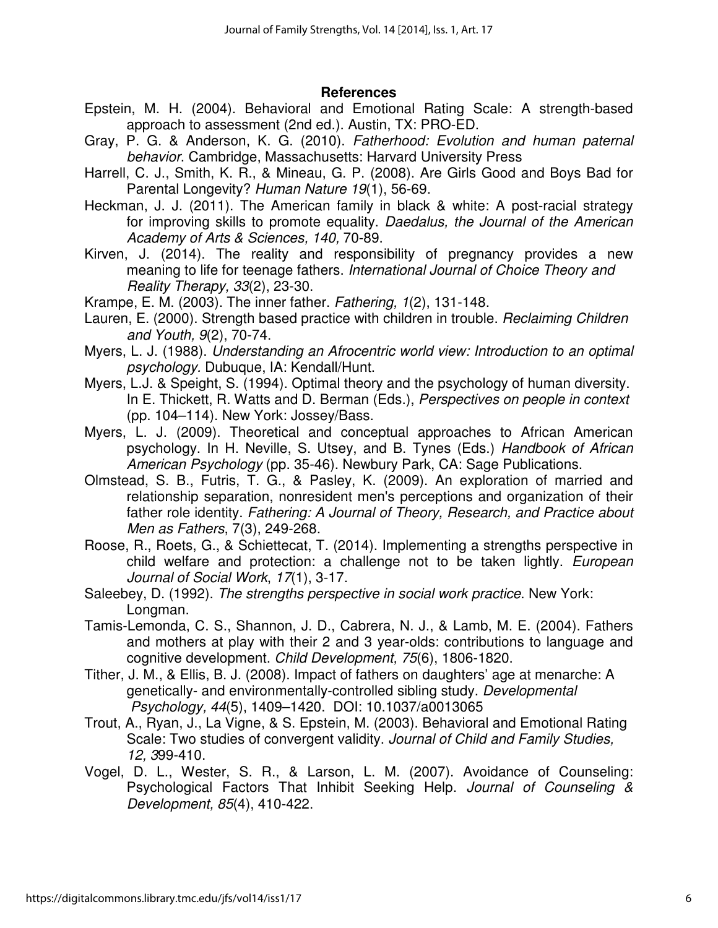#### **References**

- Epstein, M. H. (2004). Behavioral and Emotional Rating Scale: A strength-based approach to assessment (2nd ed.). Austin, TX: PRO-ED.
- Gray, P. G. & Anderson, K. G. (2010). Fatherhood: Evolution and human paternal behavior. Cambridge, Massachusetts: Harvard University Press
- Harrell, C. J., Smith, K. R., & Mineau, G. P. (2008). Are Girls Good and Boys Bad for Parental Longevity? Human Nature 19(1), 56-69.
- Heckman, J. J. (2011). The American family in black & white: A post-racial strategy for improving skills to promote equality. Daedalus, the Journal of the American Academy of Arts & Sciences, 140, 70-89.
- Kirven, J. (2014). The reality and responsibility of pregnancy provides a new meaning to life for teenage fathers. International Journal of Choice Theory and Reality Therapy, 33(2), 23-30.
- Krampe, E. M. (2003). The inner father. Fathering, 1(2), 131-148.
- Lauren, E. (2000). Strength based practice with children in trouble. Reclaiming Children and Youth, 9(2), 70-74.
- Myers, L. J. (1988). Understanding an Afrocentric world view: Introduction to an optimal psychology. Dubuque, IA: Kendall/Hunt.
- Myers, L.J. & Speight, S. (1994). Optimal theory and the psychology of human diversity. In E. Thickett, R. Watts and D. Berman (Eds.), Perspectives on people in context (pp. 104–114). New York: Jossey/Bass.
- Myers, L. J. (2009). Theoretical and conceptual approaches to African American psychology. In H. Neville, S. Utsey, and B. Tynes (Eds.) Handbook of African American Psychology (pp. 35-46). Newbury Park, CA: Sage Publications.
- Olmstead, S. B., Futris, T. G., & Pasley, K. (2009). An exploration of married and relationship separation, nonresident men's perceptions and organization of their father role identity. Fathering: A Journal of Theory, Research, and Practice about Men as Fathers, 7(3), 249-268.
- Roose, R., Roets, G., & Schiettecat, T. (2014). Implementing a strengths perspective in child welfare and protection: a challenge not to be taken lightly. European Journal of Social Work, 17(1), 3-17.
- Saleebey, D. (1992). The strengths perspective in social work practice. New York: Longman.
- Tamis-Lemonda, C. S., Shannon, J. D., Cabrera, N. J., & Lamb, M. E. (2004). Fathers and mothers at play with their 2 and 3 year-olds: contributions to language and cognitive development. Child Development, 75(6), 1806-1820.
- Tither, J. M., & Ellis, B. J. (2008). Impact of fathers on daughters' age at menarche: A genetically- and environmentally-controlled sibling study. Developmental Psychology, 44(5), 1409–1420. DOI: 10.1037/a0013065
- Trout, A., Ryan, J., La Vigne, & S. Epstein, M. (2003). Behavioral and Emotional Rating Scale: Two studies of convergent validity. Journal of Child and Family Studies, 12, 399-410.
- Vogel, D. L., Wester, S. R., & Larson, L. M. (2007). Avoidance of Counseling: Psychological Factors That Inhibit Seeking Help. Journal of Counseling & Development, 85(4), 410-422.